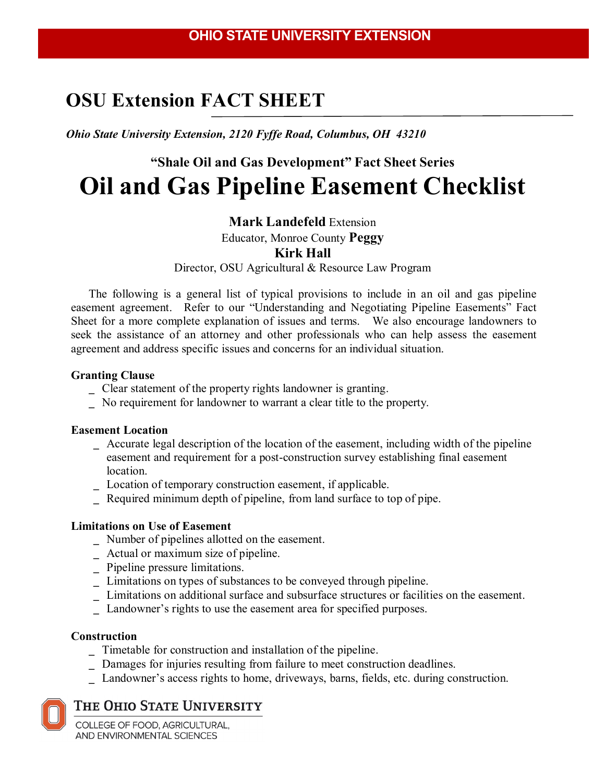## **OSU Extension FACT SHEET**

*Ohio State University Extension, 2120 Fyffe Road, Columbus, OH 43210*

# **"Shale Oil and Gas Development" Fact Sheet Series Oil and Gas Pipeline Easement Checklist**

### **Mark Landefeld** Extension

Educator, Monroe County **Peggy**

### **Kirk Hall**

Director, OSU Agricultural & Resource Law Program

The following is a general list of typical provisions to include in an oil and gas pipeline easement agreement. Refer to our "Understanding and Negotiating Pipeline Easements" Fact Sheet for a more complete explanation of issues and terms. We also encourage landowners to seek the assistance of an attorney and other professionals who can help assess the easement agreement and address specific issues and concerns for an individual situation.

### **Granting Clause**

- \_ Clear statement of the property rights landowner is granting.
- No requirement for landowner to warrant a clear title to the property.

### **Easement Location**

- \_ Accurate legal description of the location of the easement, including width of the pipeline easement and requirement for a post-construction survey establishing final easement location.
- \_ Location of temporary construction easement, if applicable.
- \_ Required minimum depth of pipeline, from land surface to top of pipe.

### **Limitations on Use of Easement**

- \_ Number of pipelines allotted on the easement.
- \_ Actual or maximum size of pipeline.
- \_ Pipeline pressure limitations.
- \_ Limitations on types of substances to be conveyed through pipeline.
- \_ Limitations on additional surface and subsurface structures or facilities on the easement.
- \_ Landowner's rights to use the easement area for specified purposes.

### **Construction**

- \_ Timetable for construction and installation of the pipeline.
- \_ Damages for injuries resulting from failure to meet construction deadlines.
- \_ Landowner's access rights to home, driveways, barns, fields, etc. during construction.

## THE OHIO STATE UNIVERSITY

COLLEGE OF FOOD, AGRICULTURAL, AND ENVIRONMENTAL SCIENCES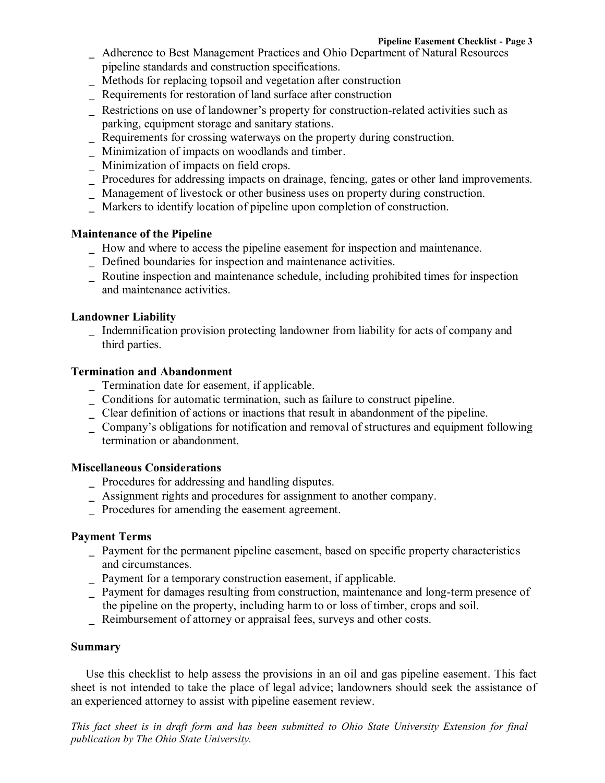- Adherence to Best Management Practices and Ohio Department of Natural Resources pipeline standards and construction specifications.
- \_ Methods for replacing topsoil and vegetation after construction
- \_ Requirements for restoration of land surface after construction
- Restrictions on use of landowner's property for construction-related activities such as parking, equipment storage and sanitary stations.
- Requirements for crossing waterways on the property during construction.
- Minimization of impacts on woodlands and timber.
- \_ Minimization of impacts on field crops.
- \_ Procedures for addressing impacts on drainage, fencing, gates or other land improvements.
- \_ Management of livestock or other business uses on property during construction.
- Markers to identify location of pipeline upon completion of construction.

### **Maintenance of the Pipeline**

- \_ How and where to access the pipeline easement for inspection and maintenance.
- \_ Defined boundaries for inspection and maintenance activities.
- \_ Routine inspection and maintenance schedule, including prohibited times for inspection and maintenance activities.

### **Landowner Liability**

\_ Indemnification provision protecting landowner from liability for acts of company and third parties.

### **Termination and Abandonment**

- \_ Termination date for easement, if applicable.
- $\overline{\phantom{a}}$  Conditions for automatic termination, such as failure to construct pipeline.
- Clear definition of actions or inactions that result in abandonment of the pipeline.
- \_ Company's obligations for notification and removal of structures and equipment following termination or abandonment.

### **Miscellaneous Considerations**

- \_ Procedures for addressing and handling disputes.
- \_ Assignment rights and procedures for assignment to another company.
- \_ Procedures for amending the easement agreement.

### **Payment Terms**

- \_ Payment for the permanent pipeline easement, based on specific property characteristics and circumstances.
- \_ Payment for a temporary construction easement, if applicable.
- \_ Payment for damages resulting from construction, maintenance and long-term presence of
- the pipeline on the property, including harm to or loss of timber, crops and soil.
- \_ Reimbursement of attorney or appraisal fees, surveys and other costs.

### **Summary**

Use this checklist to help assess the provisions in an oil and gas pipeline easement. This fact sheet is not intended to take the place of legal advice; landowners should seek the assistance of an experienced attorney to assist with pipeline easement review.

This fact sheet is in draft form and has been submitted to Ohio State University Extension for final *publication by The Ohio State University.*